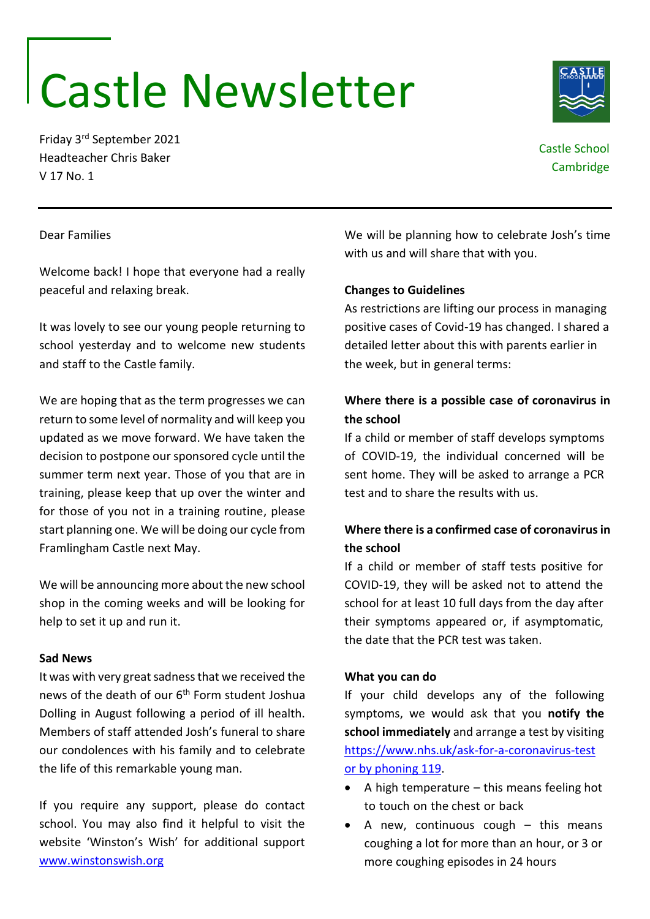# Castle Newsletter

Friday 3rd September 2021 Headteacher Chris Baker V 17 No. 1

# Castle School **Cambridge**

# Dear Families

Welcome back! I hope that everyone had a really peaceful and relaxing break.

It was lovely to see our young people returning to school yesterday and to welcome new students and staff to the Castle family.

We are hoping that as the term progresses we can return to some level of normality and will keep you updated as we move forward. We have taken the decision to postpone our sponsored cycle until the summer term next year. Those of you that are in training, please keep that up over the winter and for those of you not in a training routine, please start planning one. We will be doing our cycle from Framlingham Castle next May.

We will be announcing more about the new school shop in the coming weeks and will be looking for help to set it up and run it.

# **Sad News**

It was with very great sadness that we received the news of the death of our 6<sup>th</sup> Form student Joshua Dolling in August following a period of ill health. Members of staff attended Josh's funeral to share our condolences with his family and to celebrate the life of this remarkable young man.

If you require any support, please do contact school. You may also find it helpful to visit the website 'Winston's Wish' for additional support [www.winstonswish.org](http://www.winstonswish.org/)

We will be planning how to celebrate Josh's time with us and will share that with you.

# **Changes to Guidelines**

As restrictions are lifting our process in managing positive cases of Covid-19 has changed. I shared a detailed letter about this with parents earlier in the week, but in general terms:

# **Where there is a possible case of coronavirus in the school**

If a child or member of staff develops symptoms of COVID-19, the individual concerned will be sent home. They will be asked to arrange a PCR test and to share the results with us.

# **Where there is a confirmed case of coronavirus in the school**

If a child or member of staff tests positive for COVID-19, they will be asked not to attend the school for at least 10 full days from the day after their symptoms appeared or, if asymptomatic, the date that the PCR test was taken.

# **What you can do**

If your child develops any of the following symptoms, we would ask that you **notify the school immediately** and arrange a test by visiting [https://www.nhs.uk/ask-for-a-coronavirus-test](https://www.nhs.uk/ask-for-a-coronavirus-test%20or%20by%20phoning%20119) [or by phoning](https://www.nhs.uk/ask-for-a-coronavirus-test%20or%20by%20phoning%20119) 119.

- $\bullet$  A high temperature this means feeling hot to touch on the chest or back
- $\bullet$  A new, continuous cough this means coughing a lot for more than an hour, or 3 or more coughing episodes in 24 hours